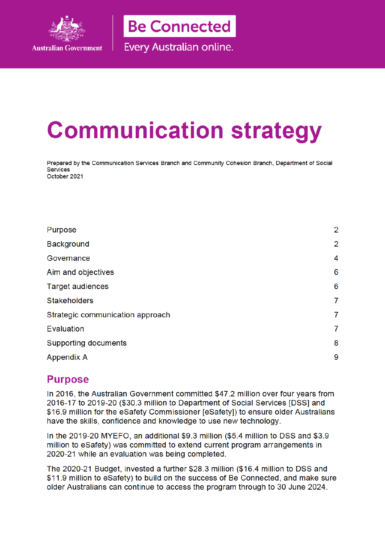

**Be Connected** 

Every Australian online.

# **Communication strategy**

Prepared by the Communication Services Branch and Community Cohesion Branch, Department of Social Services October 2021

| $\overline{2}$ |
|----------------|
| $\overline{2}$ |
| 4              |
| 6              |
| 6              |
| 7              |
| 7              |
| 7              |
| 8              |
| 9              |
|                |

## **Purpose**

In 2016, the Australian Government committed \$47.2 million over four years from 2016-17 to 2019-20 (\$30.3 million to Department of Social Services [DSS] and \$16.9 million for the eSafety Commissioner [eSafety]) to ensure older Australians have the skills, confidence and knowledge to use new technology.

In the 2019-20 MYEFO, an additional \$9.3 million (\$5.4 million to DSS and \$3.9 million to eSafety) was committed to extend current program arrangements in 2020-21 while an evaluation was being completed.

The 2020-21 Budget, invested a further \$28.3 million (\$16.4 million to DSS and \$11.9 million to eSafety) to build on the success of Be Connected, and make sure older Australians can continue to access the program through to 30 June 2024.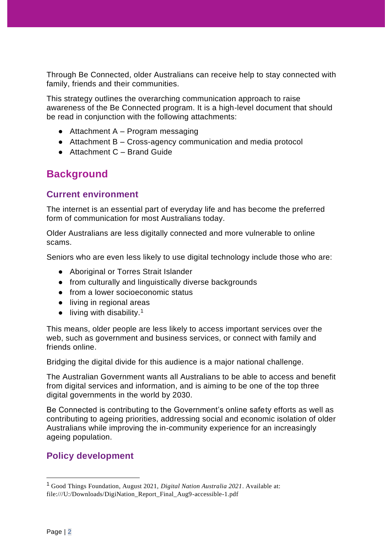Through Be Connected, older Australians can receive help to stay connected with family, friends and their communities.

This strategy outlines the overarching communication approach to raise awareness of the Be Connected program. It is a high-level document that should be read in conjunction with the following attachments:

- $\bullet$  Attachment A Program messaging
- Attachment B Cross-agency communication and media protocol
- Attachment C Brand Guide

## **Background**

### **Current environment**

The internet is an essential part of everyday life and has become the preferred form of communication for most Australians today.

Older Australians are less digitally connected and more vulnerable to online scams.

Seniors who are even less likely to use digital technology include those who are:

- Aboriginal or Torres Strait Islander
- from culturally and linguistically diverse backgrounds
- from a lower socioeconomic status
- living in regional areas
- $\bullet$  living with disability.<sup>1</sup>

This means, older people are less likely to access important services over the web, such as government and business services, or connect with family and friends online.

Bridging the digital divide for this audience is a major national challenge.

The Australian Government wants all Australians to be able to access and benefit from digital services and information, and is aiming to be one of the top three digital governments in the world by 2030.

Be Connected is contributing to the Government's online safety efforts as well as contributing to ageing priorities, addressing social and economic isolation of older Australians while improving the in-community experience for an increasingly ageing population.

## **Policy development**

<sup>1</sup> Good Things Foundation, August 2021, *Digital Nation Australia 2021*. Available at: file:///U:/Downloads/DigiNation\_Report\_Final\_Aug9-accessible-1.pdf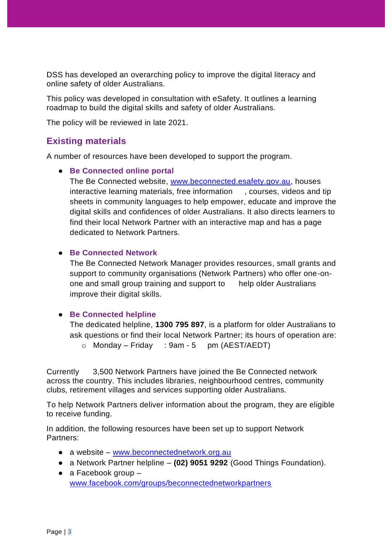DSS has developed an overarching policy to improve the digital literacy and online safety of older Australians.

This policy was developed in consultation with eSafety. It outlines a learning roadmap to build the digital skills and safety of older Australians.

The policy will be reviewed in late 2021.

### **Existing materials**

A number of resources have been developed to support the program.

#### ● **Be Connected online portal**

The Be Connected website, www.beconnected.esafety.gov.au, houses interactive learning materials, free information , courses, videos and tip sheets in community languages to help empower, educate and improve the digital skills and confidences of older Australians. It also directs learners to find their local Network Partner with an interactive map and has a page dedicated to Network Partners.

#### ● **Be Connected Network**

The Be Connected Network Manager provides resources, small grants and support to community organisations (Network Partners) who offer one-onone and small group training and support to help older Australians improve their digital skills.

#### ● **Be Connected helpline**

The dedicated helpline, **1300 795 897**, is a platform for older Australians to ask questions or find their local Network Partner; its hours of operation are:

 $\circ$  Monday – Friday : 9am - 5 pm (AEST/AEDT)

Currently 3,500 Network Partners have joined the Be Connected network across the country. This includes libraries, neighbourhood centres, community clubs, retirement villages and services supporting older Australians.

To help Network Partners deliver information about the program, they are eligible to receive funding.

In addition, the following resources have been set up to support Network Partners:

- a website www.beconnectednetwork.org.au
- a Network Partner helpline **(02) 9051 9292** (Good Things Foundation).
- $\bullet$  a Facebook group  $$ www.facebook.com/groups/beconnectednetworkpartners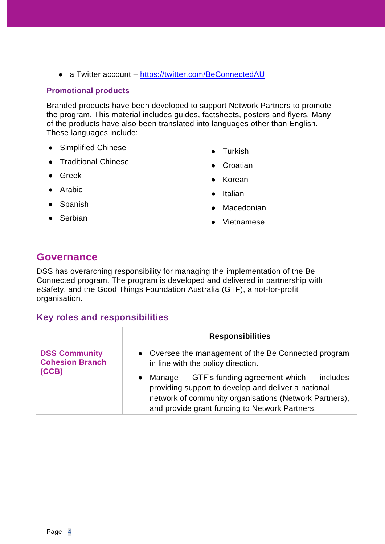● a Twitter account – https://twitter.com/BeConnectedAU

#### **Promotional products**

Branded products have been developed to support Network Partners to promote the program. This material includes guides, factsheets, posters and flyers. Many of the products have also been translated into languages other than English. These languages include:

- Simplified Chinese
- Traditional Chinese
- Greek
- Arabic
- Spanish
- Serbian
- Turkish
- Croatian
- Korean
- Italian
- Macedonian
- Vietnamese

## **Governance**

DSS has overarching responsibility for managing the implementation of the Be Connected program. The program is developed and delivered in partnership with eSafety, and the Good Things Foundation Australia (GTF), a not-for-profit organisation.

#### **Key roles and responsibilities**

|                                                | <b>Responsibilities</b>                                                                                                                                                                                                |  |  |
|------------------------------------------------|------------------------------------------------------------------------------------------------------------------------------------------------------------------------------------------------------------------------|--|--|
| <b>DSS Community</b><br><b>Cohesion Branch</b> | • Oversee the management of the Be Connected program<br>in line with the policy direction.                                                                                                                             |  |  |
| (CCB)                                          | GTF's funding agreement which<br>includes<br>Manage<br>providing support to develop and deliver a national<br>network of community organisations (Network Partners),<br>and provide grant funding to Network Partners. |  |  |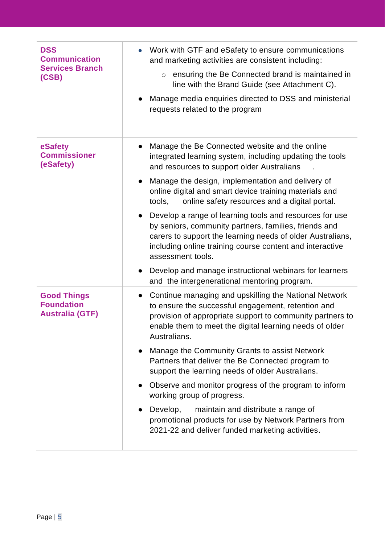| <b>DSS</b><br><b>Communication</b><br><b>Services Branch</b><br>(CSB) | Work with GTF and eSafety to ensure communications<br>and marketing activities are consistent including:<br>ensuring the Be Connected brand is maintained in<br>$\circ$<br>line with the Brand Guide (see Attachment C).<br>Manage media enquiries directed to DSS and ministerial<br>requests related to the program |
|-----------------------------------------------------------------------|-----------------------------------------------------------------------------------------------------------------------------------------------------------------------------------------------------------------------------------------------------------------------------------------------------------------------|
| eSafety<br><b>Commissioner</b><br>(eSafety)                           | Manage the Be Connected website and the online<br>$\bullet$<br>integrated learning system, including updating the tools<br>and resources to support older Australians                                                                                                                                                 |
|                                                                       | Manage the design, implementation and delivery of<br>online digital and smart device training materials and<br>tools,<br>online safety resources and a digital portal.                                                                                                                                                |
|                                                                       | Develop a range of learning tools and resources for use<br>by seniors, community partners, families, friends and<br>carers to support the learning needs of older Australians,<br>including online training course content and interactive<br>assessment tools.                                                       |
|                                                                       | Develop and manage instructional webinars for learners<br>and the intergenerational mentoring program.                                                                                                                                                                                                                |
| <b>Good Things</b><br><b>Foundation</b><br><b>Australia (GTF)</b>     | Continue managing and upskilling the National Network<br>$\bullet$<br>to ensure the successful engagement, retention and<br>provision of appropriate support to community partners to<br>enable them to meet the digital learning needs of older<br>Australians.                                                      |
|                                                                       | Manage the Community Grants to assist Network<br>Partners that deliver the Be Connected program to<br>support the learning needs of older Australians.                                                                                                                                                                |
|                                                                       | Observe and monitor progress of the program to inform<br>working group of progress.                                                                                                                                                                                                                                   |
|                                                                       | maintain and distribute a range of<br>Develop,<br>promotional products for use by Network Partners from<br>2021-22 and deliver funded marketing activities.                                                                                                                                                           |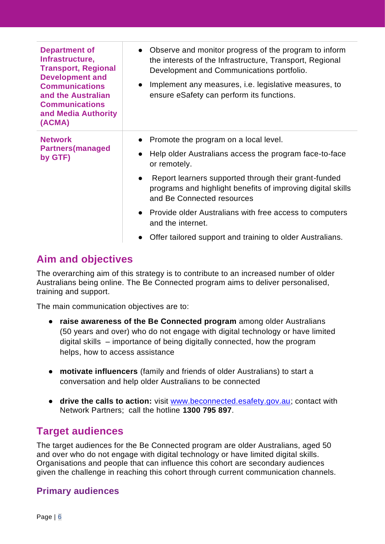| <b>Department of</b><br>Infrastructure,<br><b>Transport, Regional</b><br><b>Development and</b><br><b>Communications</b><br>and the Australian<br><b>Communications</b><br>and Media Authority<br>(ACMA) | Observe and monitor progress of the program to inform<br>the interests of the Infrastructure, Transport, Regional<br>Development and Communications portfolio.<br>Implement any measures, i.e. legislative measures, to<br>$\bullet$<br>ensure eSafety can perform its functions.                                                                                                                                                |
|----------------------------------------------------------------------------------------------------------------------------------------------------------------------------------------------------------|----------------------------------------------------------------------------------------------------------------------------------------------------------------------------------------------------------------------------------------------------------------------------------------------------------------------------------------------------------------------------------------------------------------------------------|
| <b>Network</b><br><b>Partners</b> (managed<br>by GTF)                                                                                                                                                    | Promote the program on a local level.<br>Help older Australians access the program face-to-face<br>or remotely.<br>Report learners supported through their grant-funded<br>$\bullet$<br>programs and highlight benefits of improving digital skills<br>and Be Connected resources<br>• Provide older Australians with free access to computers<br>and the internet.<br>Offer tailored support and training to older Australians. |

## **Aim and objectives**

The overarching aim of this strategy is to contribute to an increased number of older Australians being online. The Be Connected program aims to deliver personalised, training and support.

The main communication objectives are to:

- **raise awareness of the Be Connected program** among older Australians (50 years and over) who do not engage with digital technology or have limited digital skills – importance of being digitally connected, how the program helps, how to access assistance
- **motivate influencers** (family and friends of older Australians) to start a conversation and help older Australians to be connected
- **drive the calls to action:** visit www.beconnected.esafety.gov.au; contact with Network Partners; call the hotline **1300 795 897**.

## **Target audiences**

The target audiences for the Be Connected program are older Australians, aged 50 and over who do not engage with digital technology or have limited digital skills. Organisations and people that can influence this cohort are secondary audiences given the challenge in reaching this cohort through current communication channels.

## **Primary audiences**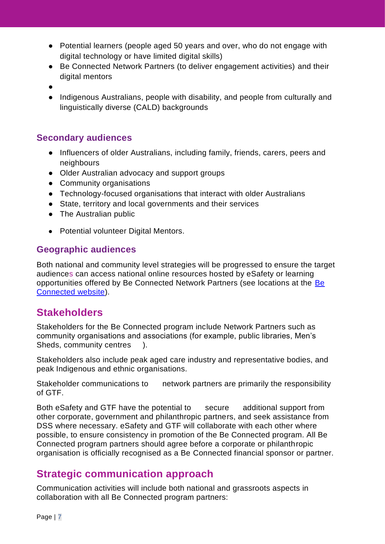- Potential learners (people aged 50 years and over, who do not engage with digital technology or have limited digital skills)
- Be Connected Network Partners (to deliver engagement activities) and their digital mentors
- ●
- Indigenous Australians, people with disability, and people from culturally and linguistically diverse (CALD) backgrounds

## **Secondary audiences**

- Influencers of older Australians, including family, friends, carers, peers and neighbours
- Older Australian advocacy and support groups
- Community organisations
- Technology-focused organisations that interact with older Australians
- State, territory and local governments and their services
- The Australian public
- Potential volunteer Digital Mentors.

### **Geographic audiences**

Both national and community level strategies will be progressed to ensure the target audiences can access national online resources hosted by eSafety or learning opportunities offered by Be Connected Network Partners (see locations at the Be Connected website).

## **Stakeholders**

Stakeholders for the Be Connected program include Network Partners such as community organisations and associations (for example, public libraries, Men's Sheds, community centres ).

Stakeholders also include peak aged care industry and representative bodies, and peak Indigenous and ethnic organisations.

Stakeholder communications to network partners are primarily the responsibility of GTF.

Both eSafety and GTF have the potential to secure additional support from other corporate, government and philanthropic partners, and seek assistance from DSS where necessary. eSafety and GTF will collaborate with each other where possible, to ensure consistency in promotion of the Be Connected program. All Be Connected program partners should agree before a corporate or philanthropic organisation is officially recognised as a Be Connected financial sponsor or partner.

## **Strategic communication approach**

Communication activities will include both national and grassroots aspects in collaboration with all Be Connected program partners: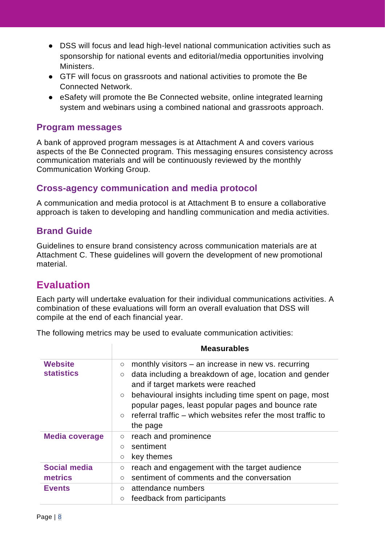- DSS will focus and lead high-level national communication activities such as sponsorship for national events and editorial/media opportunities involving Ministers.
- GTF will focus on grassroots and national activities to promote the Be Connected Network.
- eSafety will promote the Be Connected website, online integrated learning system and webinars using a combined national and grassroots approach.

## **Program messages**

A bank of approved program messages is at Attachment A and covers various aspects of the Be Connected program. This messaging ensures consistency across communication materials and will be continuously reviewed by the monthly Communication Working Group.

## **Cross-agency communication and media protocol**

A communication and media protocol is at Attachment B to ensure a collaborative approach is taken to developing and handling communication and media activities.

## **Brand Guide**

Guidelines to ensure brand consistency across communication materials are at Attachment C. These guidelines will govern the development of new promotional material.

## **Evaluation**

Each party will undertake evaluation for their individual communications activities. A combination of these evaluations will form an overall evaluation that DSS will compile at the end of each financial year.

The following metrics may be used to evaluate communication activities:

|                                                 | <b>Measurables</b>                                                                                                                                                                                                                                                                                                                                                                            |
|-------------------------------------------------|-----------------------------------------------------------------------------------------------------------------------------------------------------------------------------------------------------------------------------------------------------------------------------------------------------------------------------------------------------------------------------------------------|
| <b>Website</b><br><b>statistics</b>             | monthly visitors $-$ an increase in new vs. recurring<br>$\circ$<br>data including a breakdown of age, location and gender<br>$\circ$<br>and if target markets were reached<br>behavioural insights including time spent on page, most<br>$\circ$<br>popular pages, least popular pages and bounce rate<br>referral traffic – which websites refer the most traffic to<br>$\circ$<br>the page |
| <b>Media coverage</b>                           | reach and prominence<br>$\circ$<br>sentiment<br>$\circ$<br>key themes<br>$\circ$                                                                                                                                                                                                                                                                                                              |
| <b>Social media</b><br>metrics<br><b>Events</b> | reach and engagement with the target audience<br>$\circ$<br>sentiment of comments and the conversation<br>$\circ$<br>attendance numbers<br>$\circ$                                                                                                                                                                                                                                            |
|                                                 | feedback from participants<br>$\circ$                                                                                                                                                                                                                                                                                                                                                         |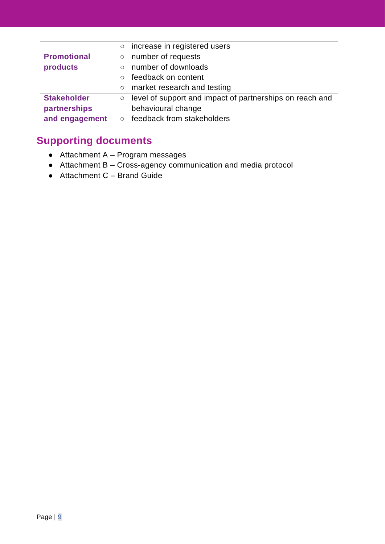|                    | $\circ$  | increase in registered users                             |
|--------------------|----------|----------------------------------------------------------|
| <b>Promotional</b> | $\circ$  | number of requests                                       |
| products           | $\Omega$ | number of downloads                                      |
|                    | $\Omega$ | feedback on content                                      |
|                    | $\circ$  | market research and testing                              |
| <b>Stakeholder</b> | $\circ$  | level of support and impact of partnerships on reach and |
| partnerships       |          | behavioural change                                       |
| and engagement     | $\Omega$ | feedback from stakeholders                               |

## **Supporting documents**

- $\bullet$  Attachment A Program messages
- Attachment B Cross-agency communication and media protocol
- Attachment C Brand Guide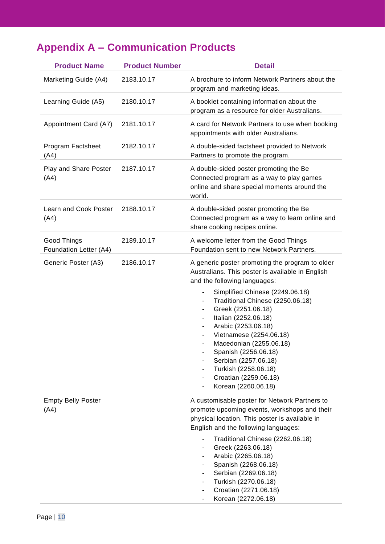# **Appendix A – Communication Products**

| <b>Product Name</b>                   | <b>Product Number</b> | <b>Detail</b>                                                                                                                                                                                                                                                                                                                                                                                                                                                                                                                                                |
|---------------------------------------|-----------------------|--------------------------------------------------------------------------------------------------------------------------------------------------------------------------------------------------------------------------------------------------------------------------------------------------------------------------------------------------------------------------------------------------------------------------------------------------------------------------------------------------------------------------------------------------------------|
| Marketing Guide (A4)                  | 2183.10.17            | A brochure to inform Network Partners about the<br>program and marketing ideas.                                                                                                                                                                                                                                                                                                                                                                                                                                                                              |
| Learning Guide (A5)                   | 2180.10.17            | A booklet containing information about the<br>program as a resource for older Australians.                                                                                                                                                                                                                                                                                                                                                                                                                                                                   |
| Appointment Card (A7)                 | 2181.10.17            | A card for Network Partners to use when booking<br>appointments with older Australians.                                                                                                                                                                                                                                                                                                                                                                                                                                                                      |
| Program Factsheet<br>(A4)             | 2182.10.17            | A double-sided factsheet provided to Network<br>Partners to promote the program.                                                                                                                                                                                                                                                                                                                                                                                                                                                                             |
| Play and Share Poster<br>(A4)         | 2187.10.17            | A double-sided poster promoting the Be<br>Connected program as a way to play games<br>online and share special moments around the<br>world.                                                                                                                                                                                                                                                                                                                                                                                                                  |
| Learn and Cook Poster<br>(A4)         | 2188.10.17            | A double-sided poster promoting the Be<br>Connected program as a way to learn online and<br>share cooking recipes online.                                                                                                                                                                                                                                                                                                                                                                                                                                    |
| Good Things<br>Foundation Letter (A4) | 2189.10.17            | A welcome letter from the Good Things<br>Foundation sent to new Network Partners.                                                                                                                                                                                                                                                                                                                                                                                                                                                                            |
| Generic Poster (A3)                   | 2186.10.17            | A generic poster promoting the program to older<br>Australians. This poster is available in English<br>and the following languages:<br>Simplified Chinese (2249.06.18)<br>$\blacksquare$<br>Traditional Chinese (2250.06.18)<br>Greek (2251.06.18)<br>Italian (2252.06.18)<br>Arabic (2253.06.18)<br>-<br>Vietnamese (2254.06.18)<br>Macedonian (2255.06.18)<br>-<br>Spanish (2256.06.18)<br>$\overline{\phantom{a}}$<br>Serbian (2257.06.18)<br>Turkish (2258.06.18)<br>۰.<br>Croatian (2259.06.18)<br>٠<br>Korean (2260.06.18)<br>$\overline{\phantom{a}}$ |
| <b>Empty Belly Poster</b><br>(A4)     |                       | A customisable poster for Network Partners to<br>promote upcoming events, workshops and their<br>physical location. This poster is available in<br>English and the following languages:<br>Traditional Chinese (2262.06.18)<br>Greek (2263.06.18)<br>$\blacksquare$<br>Arabic (2265.06.18)<br>$\blacksquare$<br>Spanish (2268.06.18)<br>$\blacksquare$<br>Serbian (2269.06.18)<br>$\blacksquare$<br>Turkish (2270.06.18)<br>$\blacksquare$<br>Croatian (2271.06.18)<br>Korean (2272.06.18)                                                                   |